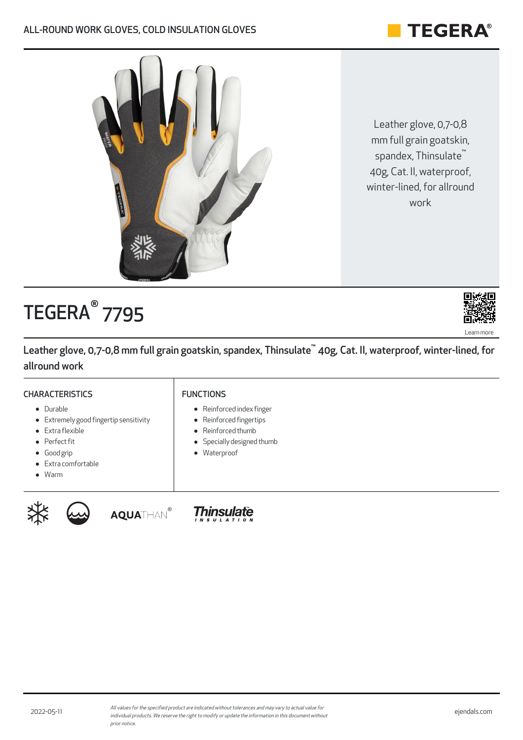Leather glove, 0,7-0,8 mm full grain goatskin, spandex, Thinsulate ™ 40g, Cat. II, waterproof, winter-lined, for allround work

# TEGERA® 7795

Extremely good fingertip sensitivity

Leather glove, 0,7-0,8 mm full grain goatskin, spandex, Thinsulate™ 40g, Cat. II, waterproof, winter-lined, for allround work

### **CHARACTERISTICS**

Extra flexible • Perfect fit Good grip

• Durable

#### FUNCTIONS

**AQUATHAN®** 

- Reinforced index finger
- Reinforced fingertips
- Reinforced thumb
- Specially designed thumb
- Waterproof

**Thinsulate** 

- Extra comfortable
- Warm

XX.